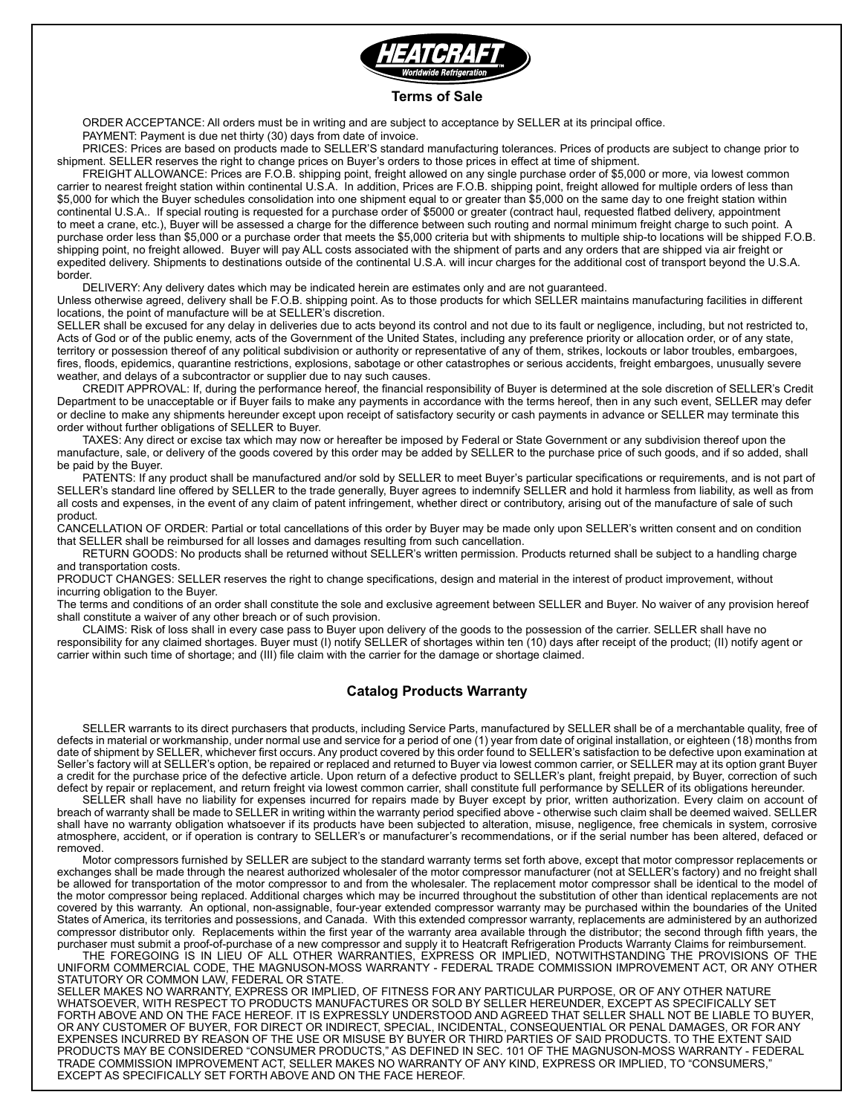

#### **Terms of Sale**

 ORDER ACCEPTANCE: All orders must be in writing and are subject to acceptance by SELLER at its principal office. PAYMENT: Payment is due net thirty (30) days from date of invoice.

 PRICES: Prices are based on products made to SELLER'S standard manufacturing tolerances. Prices of products are subject to change prior to shipment. SELLER reserves the right to change prices on Buyer's orders to those prices in effect at time of shipment.

 FREIGHT ALLOWANCE: Prices are F.O.B. shipping point, freight allowed on any single purchase order of \$5,000 or more, via lowest common carrier to nearest freight station within continental U.S.A. In addition, Prices are F.O.B. shipping point, freight allowed for multiple orders of less than \$5,000 for which the Buyer schedules consolidation into one shipment equal to or greater than \$5,000 on the same day to one freight station within continental U.S.A.. If special routing is requested for a purchase order of \$5000 or greater (contract haul, requested flatbed delivery, appointment to meet a crane, etc.), Buyer will be assessed a charge for the difference between such routing and normal minimum freight charge to such point. A purchase order less than \$5,000 or a purchase order that meets the \$5,000 criteria but with shipments to multiple ship-to locations will be shipped F.O.B. shipping point, no freight allowed. Buyer will pay ALL costs associated with the shipment of parts and any orders that are shipped via air freight or expedited delivery. Shipments to destinations outside of the continental U.S.A. will incur charges for the additional cost of transport beyond the U.S.A. border.

 DELIVERY: Any delivery dates which may be indicated herein are estimates only and are not guaranteed.

Unless otherwise agreed, delivery shall be F.O.B. shipping point. As to those products for which SELLER maintains manufacturing facilities in different locations, the point of manufacture will be at SELLER's discretion.

SELLER shall be excused for any delay in deliveries due to acts beyond its control and not due to its fault or negligence, including, but not restricted to, Acts of God or of the public enemy, acts of the Government of the United States, including any preference priority or allocation order, or of any state, territory or possession thereof of any political subdivision or authority or representative of any of them, strikes, lockouts or labor troubles, embargoes, fires, floods, epidemics, quarantine restrictions, explosions, sabotage or other catastrophes or serious accidents, freight embargoes, unusually severe weather, and delays of a subcontractor or supplier due to nay such causes.

 CREDIT APPROVAL: If, during the performance hereof, the financial responsibility of Buyer is determined at the sole discretion of SELLER's Credit Department to be unacceptable or if Buyer fails to make any payments in accordance with the terms hereof, then in any such event, SELLER may defer or decline to make any shipments hereunder except upon receipt of satisfactory security or cash payments in advance or SELLER may terminate this order without further obligations of SELLER to Buyer.

 TAXES: Any direct or excise tax which may now or hereafter be imposed by Federal or State Government or any subdivision thereof upon the manufacture, sale, or delivery of the goods covered by this order may be added by SELLER to the purchase price of such goods, and if so added, shall be paid by the Buyer.

 PATENTS: If any product shall be manufactured and/or sold by SELLER to meet Buyer's particular specifications or requirements, and is not part of SELLER's standard line offered by SELLER to the trade generally, Buyer agrees to indemnify SELLER and hold it harmless from liability, as well as from all costs and expenses, in the event of any claim of patent infringement, whether direct or contributory, arising out of the manufacture of sale of such product.

CANCELLATION OF ORDER: Partial or total cancellations of this order by Buyer may be made only upon SELLER's written consent and on condition that SELLER shall be reimbursed for all losses and damages resulting from such cancellation.

 RETURN GOODS: No products shall be returned without SELLER's written permission. Products returned shall be subject to a handling charge and transportation costs.

PRODUCT CHANGES: SELLER reserves the right to change specifications, design and material in the interest of product improvement, without incurring obligation to the Buyer.

The terms and conditions of an order shall constitute the sole and exclusive agreement between SELLER and Buyer. No waiver of any provision hereof shall constitute a waiver of any other breach or of such provision.

 CLAIMS: Risk of loss shall in every case pass to Buyer upon delivery of the goods to the possession of the carrier. SELLER shall have no responsibility for any claimed shortages. Buyer must (I) notify SELLER of shortages within ten (10) days after receipt of the product; (II) notify agent or carrier within such time of shortage; and (III) file claim with the carrier for the damage or shortage claimed.

#### **Catalog Products Warranty**

SELLER warrants to its direct purchasers that products, including Service Parts, manufactured by SELLER shall be of a merchantable quality, free of defects in material or workmanship, under normal use and service for a period of one (1) year from date of original installation, or eighteen (18) months from date of shipment by SELLER, whichever first occurs. Any product covered by this order found to SELLER's satisfaction to be defective upon examination at Seller's factory will at SELLER's option, be repaired or replaced and returned to Buyer via lowest common carrier, or SELLER may at its option grant Buyer a credit for the purchase price of the defective article. Upon return of a defective product to SELLER's plant, freight prepaid, by Buyer, correction of such defect by repair or replacement, and return freight via lowest common carrier, shall constitute full performance by SELLER of its obligations hereunder.

SELLER shall have no liability for expenses incurred for repairs made by Buyer except by prior, written authorization. Every claim on account of breach of warranty shall be made to SELLER in writing within the warranty period specified above - otherwise such claim shall be deemed waived. SELLER shall have no warranty obligation whatsoever if its products have been subjected to alteration, misuse, negligence, free chemicals in system, corrosive atmosphere, accident, or if operation is contrary to SELLER's or manufacturer's recommendations, or if the serial number has been altered, defaced or removed.

Motor compressors furnished by SELLER are subject to the standard warranty terms set forth above, except that motor compressor replacements or exchanges shall be made through the nearest authorized wholesaler of the motor compressor manufacturer (not at SELLER's factory) and no freight shall be allowed for transportation of the motor compressor to and from the wholesaler. The replacement motor compressor shall be identical to the model of the motor compressor being replaced. Additional charges which may be incurred throughout the substitution of other than identical replacements are not covered by this warranty. An optional, non-assignable, four-year extended compressor warranty may be purchased within the boundaries of the United States of America, its territories and possessions, and Canada. With this extended compressor warranty, replacements are administered by an authorized compressor distributor only. Replacements within the first year of the warranty area available through the distributor; the second through fifth years, the purchaser must submit a proof-of-purchase of a new compressor and supply it to Heatcraft Refrigeration Products Warranty Claims for reimbursement.

THE FOREGOING IS IN LIEU OF ALL OTHER WARRANTIES, EXPRESS OR IMPLIED, NOTWITHSTANDING THE PROVISIONS OF THE UNIFORM COMMERCIAL CODE, THE MAGNUSON-MOSS WARRANTY - FEDERAL TRADE COMMISSION IMPROVEMENT ACT, OR ANY OTHER STATUTORY OR COMMON LAW, FEDERAL OR STATE.

SELLER MAKES NO WARRANTY, EXPRESS OR IMPLIED, OF FITNESS FOR ANY PARTICULAR PURPOSE, OR OF ANY OTHER NATURE WHATSOEVER, WITH RESPECT TO PRODUCTS MANUFACTURES OR SOLD BY SELLER HEREUNDER, EXCEPT AS SPECIFICALLY SET FORTH ABOVE AND ON THE FACE HEREOF. IT IS EXPRESSLY UNDERSTOOD AND AGREED THAT SELLER SHALL NOT BE LIABLE TO BUYER, OR ANY CUSTOMER OF BUYER, FOR DIRECT OR INDIRECT, SPECIAL, INCIDENTAL, CONSEQUENTIAL OR PENAL DAMAGES, OR FOR ANY EXPENSES INCURRED BY REASON OF THE USE OR MISUSE BY BUYER OR THIRD PARTIES OF SAID PRODUCTS. TO THE EXTENT SAID PRODUCTS MAY BE CONSIDERED "CONSUMER PRODUCTS," AS DEFINED IN SEC. 101 OF THE MAGNUSON-MOSS WARRANTY - FEDERAL TRADE COMMISSION IMPROVEMENT ACT, SELLER MAKES NO WARRANTY OF ANY KIND, EXPRESS OR IMPLIED, TO "CONSUMERS," EXCEPT AS SPECIFICALLY SET FORTH ABOVE AND ON THE FACE HEREOF.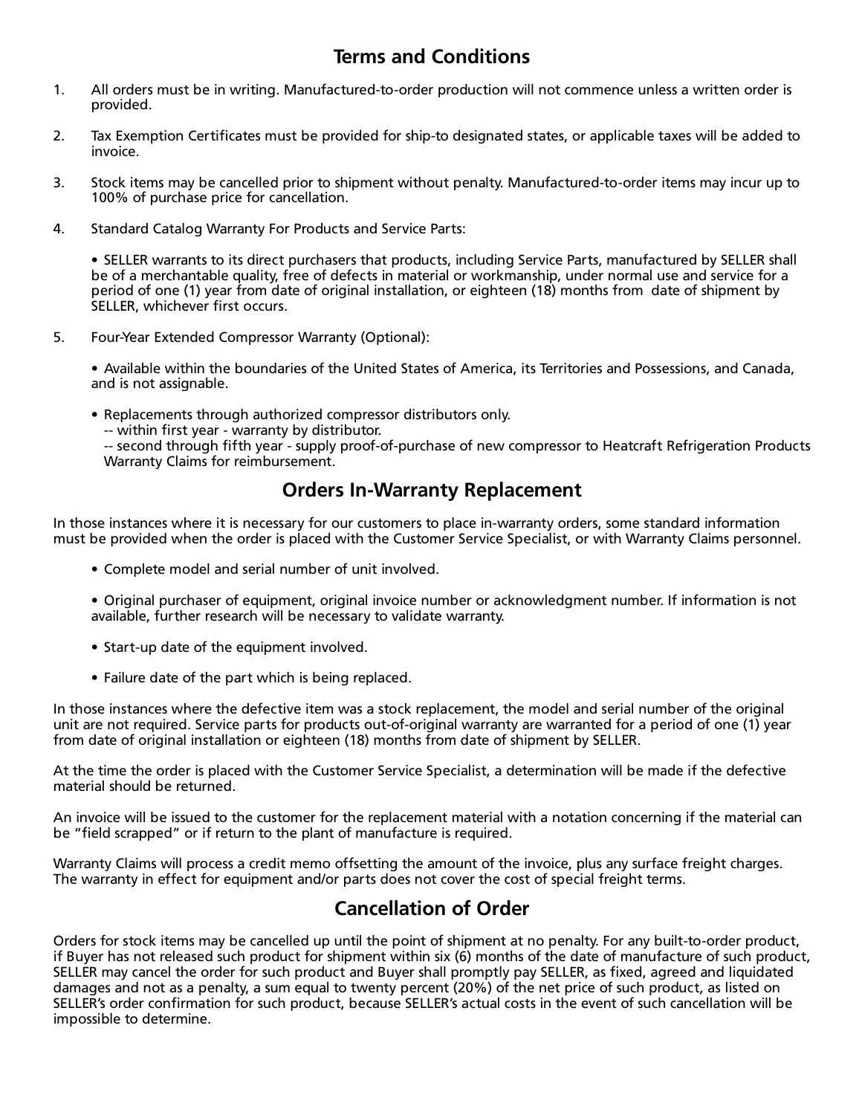## **Terms and Conditions**

- 1. All orders must be in writing. Manufactured-to-order production will not commence unless a written order is provided.
- 2. Tax Exemption Certificates must be provided for ship-to designated states, or applicable taxes will be added to invoice.
- 3. Stock items may be cancelled prior to shipment without penalty. Manufactured-to-order items may incur up to 100% of purchase price for cancellation.
- 4. Standard Catalog Warranty For Products and Service Parts:

• SELLER warrants to its direct purchasers that products, including Service Parts, manufactured by SELLER shall be of a merchantable quality, free of defects in material or workmanship, under normal use and service for a period of one (1) year from date of original installation, or eighteen (18) months from date of shipment by SELLER, whichever first occurs.

5. Four-Year Extended Compressor Warranty (Optional):

 • Available within the boundaries of the United States of America, its Territories and Possessions, and Canada, and is not assignable.

• Replacements through authorized compressor distributors only.

 -- within first year - warranty by distributor.

 -- second through fifth year - supply proof-of-purchase of new compressor to Heatcraft Refrigeration Products Warranty Claims for reimbursement.

### **Orders In-Warranty Replacement**

In those instances where it is necessary for our customers to place in-warranty orders, some standard information must be provided when the order is placed with the Customer Service Specialist, or with Warranty Claims personnel.

- Complete model and serial number of unit involved.
- • Original purchaser of equipment, original invoice number or acknowledgment number. If information is not available, further research will be necessary to validate warranty.
- Start-up date of the equipment involved.
- Failure date of the part which is being replaced.

In those instances where the defective item was a stock replacement, the model and serial number of the original unit are not required. Service parts for products out-of-original warranty are warranted for a period of one (1) year from date of original installation or eighteen (18) months from date of shipment by SELLER.

At the time the order is placed with the Customer Service Specialist, a determination will be made if the defective material should be returned.

An invoice will be issued to the customer for the replacement material with a notation concerning if the material can be "field scrapped" or if return to the plant of manufacture is required.

Warranty Claims will process a credit memo offsetting the amount of the invoice, plus any surface freight charges. The warranty in effect for equipment and/or parts does not cover the cost of special freight terms.

# **Cancellation of Order**

Orders for stock items may be cancelled up until the point of shipment at no penalty. For any built-to-order product, if Buyer has not released such product for shipment within six (6) months of the date of manufacture of such product, SELLER may cancel the order for such product and Buyer shall promptly pay SELLER, as fixed, agreed and liquidated damages and not as a penalty, a sum equal to twenty percent (20%) of the net price of such product, as listed on SELLER's order confirmation for such product, because SELLER's actual costs in the event of such cancellation will be impossible to determine.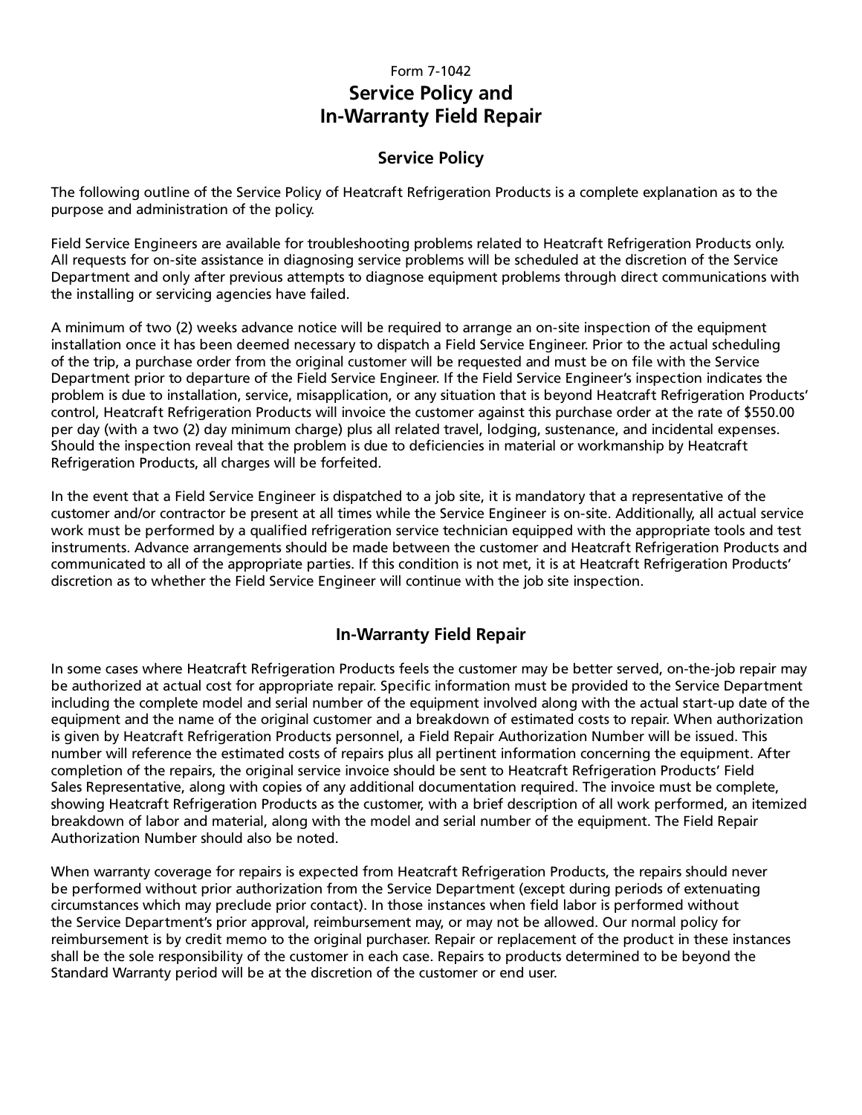### Form 7-1042 **Service Policy and In-Warranty Field Repair**

### **Service Policy**

The following outline of the Service Policy of Heatcraft Refrigeration Products is a complete explanation as to the purpose and administration of the policy.

Field Service Engineers are available for troubleshooting problems related to Heatcraft Refrigeration Products only. All requests for on-site assistance in diagnosing service problems will be scheduled at the discretion of the Service Department and only after previous attempts to diagnose equipment problems through direct communications with the installing or servicing agencies have failed.

A minimum of two (2) weeks advance notice will be required to arrange an on-site inspection of the equipment installation once it has been deemed necessary to dispatch a Field Service Engineer. Prior to the actual scheduling of the trip, a purchase order from the original customer will be requested and must be on file with the Service Department prior to departure of the Field Service Engineer. If the Field Service Engineer's inspection indicates the problem is due to installation, service, misapplication, or any situation that is beyond Heatcraft Refrigeration Products' control, Heatcraft Refrigeration Products will invoice the customer against this purchase order at the rate of \$550.00 per day (with a two (2) day minimum charge) plus all related travel, lodging, sustenance, and incidental expenses. Should the inspection reveal that the problem is due to deficiencies in material or workmanship by Heatcraft Refrigeration Products, all charges will be forfeited.

In the event that a Field Service Engineer is dispatched to a job site, it is mandatory that a representative of the customer and/or contractor be present at all times while the Service Engineer is on-site. Additionally, all actual service work must be performed by a qualified refrigeration service technician equipped with the appropriate tools and test instruments. Advance arrangements should be made between the customer and Heatcraft Refrigeration Products and communicated to all of the appropriate parties. If this condition is not met, it is at Heatcraft Refrigeration Products' discretion as to whether the Field Service Engineer will continue with the job site inspection.

### **In-Warranty Field Repair**

In some cases where Heatcraft Refrigeration Products feels the customer may be better served, on-the-job repair may be authorized at actual cost for appropriate repair. Specific information must be provided to the Service Department including the complete model and serial number of the equipment involved along with the actual start-up date of the equipment and the name of the original customer and a breakdown of estimated costs to repair. When authorization is given by Heatcraft Refrigeration Products personnel, a Field Repair Authorization Number will be issued. This number will reference the estimated costs of repairs plus all pertinent information concerning the equipment. After completion of the repairs, the original service invoice should be sent to Heatcraft Refrigeration Products' Field Sales Representative, along with copies of any additional documentation required. The invoice must be complete, showing Heatcraft Refrigeration Products as the customer, with a brief description of all work performed, an itemized breakdown of labor and material, along with the model and serial number of the equipment. The Field Repair Authorization Number should also be noted.

When warranty coverage for repairs is expected from Heatcraft Refrigeration Products, the repairs should never be performed without prior authorization from the Service Department (except during periods of extenuating circumstances which may preclude prior contact). In those instances when field labor is performed without the Service Department's prior approval, reimbursement may, or may not be allowed. Our normal policy for reimbursement is by credit memo to the original purchaser. Repair or replacement of the product in these instances shall be the sole responsibility of the customer in each case. Repairs to products determined to be beyond the Standard Warranty period will be at the discretion of the customer or end user.